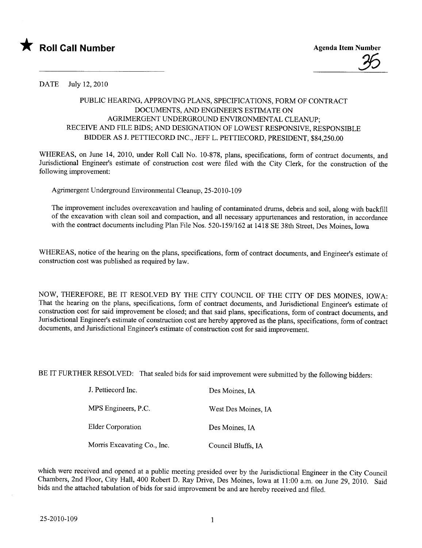

## DATE July 12,2010

## PUBLIC HEARING, APPROVING PLANS, SPECIFICATIONS, FORM OF CONTRACT DOCUMENTS, AND ENGINEER'S ESTIMATE ON AGRIMERGENT UNDERGROUND ENVIRONMENTAL CLEANUP; RECEIVE AND FILE BIDS; AND DESIGNATION OF LOWEST RESPONSIVE, RESPONSIBLE BIDDER AS J. PETTIECORD INC., JEFF L. PETTIECORD, PRESIDENT, \$84,250.00

WHEREAS, on June 14, 2010, under Roll Call No. 10-878, plans, specifications, form of contract documents, and Jurisdictional Engineer's estimate of construction cost were fied with the City Clerk, for the construction of the following improvement:

Agrmergent Underground Environmental Cleanup, 25-2010-109

The improvement includes overexcavation and hauling of contaminated drums, debris and soil, along with backfill of the excavation with clean soil and compaction, and all necessary appurtenances and restoration, in accordance with the contract documents including Plan File Nos. 520-159/162 at 1418 SE 38th Street, Des Moines, Iowa

WHEREAS, notice of the hearing on the plans, specifications, form of contract documents, and Engineer's estimate of construction cost was published as required by law.

NOW, THEREFORE, BE IT RESOLVED BY THE CITY COUNCIL OF THE CITY OF DES MOINES, IOWA: That the hearing on the plans, specifications, form of contract documents, and Jurisdictional Engineer's estimate of construction cost for said improvement be closed; and that said plans, specifications, form of contract documents, and Jurisdictional Engineer's estimate of construction cost are hereby approved as the plans, specifications, form of contract documents, and Jurisdictional Engineer's estimate of construction cost for said improvement.

BE IT FURTHER RESOLVED: That sealed bids for said improvement were submitted by the following bidders:

| J. Pettiecord Inc.          | Des Moines, IA      |
|-----------------------------|---------------------|
| MPS Engineers, P.C.         | West Des Moines, IA |
| Elder Corporation           | Des Moines, IA      |
| Morris Excavating Co., Inc. | Council Bluffs, IA  |

which were received and opened at a public meeting presided over by the Jurisdictional Engineer in the City Council Chambers, 2nd Floor, City Hall, 400 Robert D. Ray Drive, Des Moines, Iowa at 11 :00 a.m. on June 29, 2010. Said bids and the attached tabulation of bids for said improvement be and are hereby received and fied.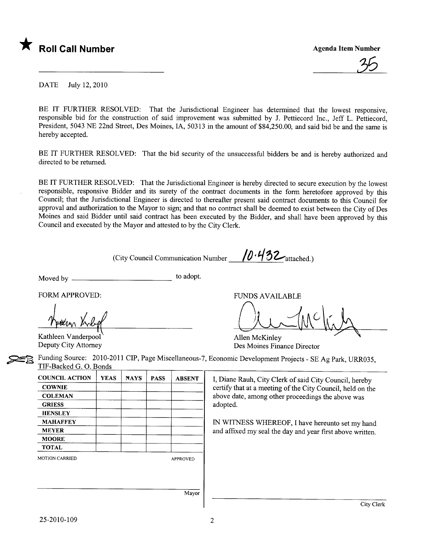

DATE July 12, 2010

BE IT FURTHER RESOLVED: That the Jurisdictional Engineer has determined that the lowest responsive. responsible bid for the construction of said improvement was submitted by J. Pettiecord Inc., Jeff L. Pettiecord, President, 5043 NE 22nd Street, Des Moines, lA, 50313 in the amount of \$84,250.00, and said bid be and the same is hereby accepted.

BE IT FURTHER RESOLVED: That the bid security of the unsuccessful bidders be and is hereby authorized and directed to be returned.

BE IT FURTHER RESOLVED: That the Jurisdictional Engineer is hereby directed to secure execution by the lowest responsible, responsive Bidder and its surety of the contract documents in the form heretofore approved by this Council; that the Jurisdictional Engineer is directed to thereafter present said contract documents to this Council for approval and authorization to the Mayor to sign; and that no contract shall be deemed to exist between the City of Des Moines and said Bidder until said contract has been executed by the Bidder, and shall have been approved by this Council and executed by the Mayor and attested to by the City Clerk.

(City Council Communication Number  $/0.432$ <sub>attached.)</sub>

Moved by to adopt.

FORM APPROVED:

Kathleen Vanderpool<br>Deputy City Attorney

FUNDS AVAILABLE<br>MUMULIA

Des Moines Finance Director Allen McKinley

Funding Source: 2010-2011 CIP, Page Miscellaneous-7, Economic Development Projects - SE Ag Park, URR035, TIF-Backed G. O. Bonds ~~

| <b>YEAS</b> | <b>NAYS</b> | <b>PASS</b> | <b>ABSENT</b>   |
|-------------|-------------|-------------|-----------------|
|             |             |             |                 |
|             |             |             |                 |
|             |             |             |                 |
|             |             |             |                 |
|             |             |             |                 |
|             |             |             |                 |
|             |             |             |                 |
|             |             |             |                 |
|             |             |             | <b>APPROVED</b> |
|             |             |             |                 |

I, Diane Rauh, City Clerk of said City Council, hereby certify that at a meeting of the City Council, held on the above date, among other proceedings the above was adopted.

IN WITNESS WHEREOF, I have hereunto set my hand and affixed my seal the day and year first above written.

Mayor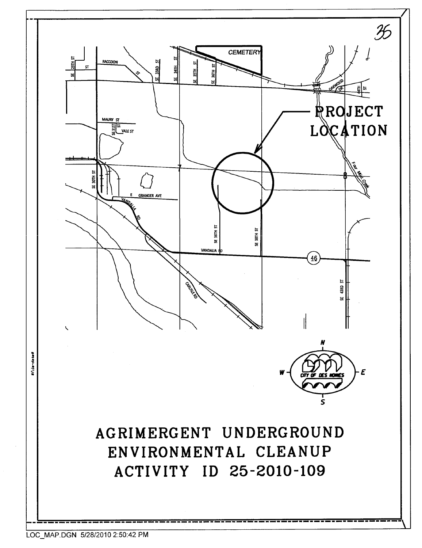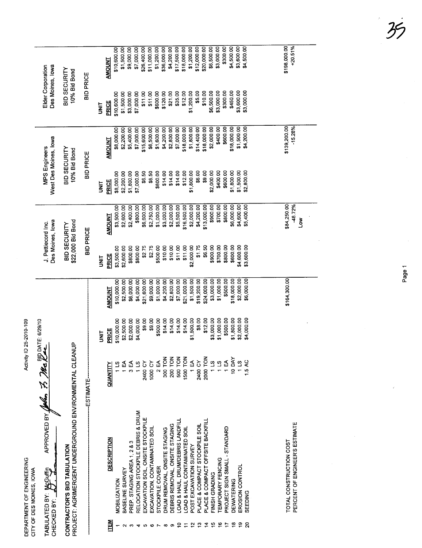|                    | DEPARTMENT OF ENGINEERING<br>CITY OF DES MOINES, IOWA                                                                                                                                                                          | Activity | ID 25-2010-109 |               |                                        |                             |                                        |                           |                                       |                           |
|--------------------|--------------------------------------------------------------------------------------------------------------------------------------------------------------------------------------------------------------------------------|----------|----------------|---------------|----------------------------------------|-----------------------------|----------------------------------------|---------------------------|---------------------------------------|---------------------------|
| CHECKED BY:        | APPROVED BY $\cancel{\mathscr{M}}$ , $\cancel{\mathscr{B}}$ $\cancel{\mathscr{M}}$ $\cancel{\mathscr{B}}$ $\cancel{\mathscr{M}}$ $\cancel{\mathscr{C}}$ $\cancel{\mathscr{L}}$ $\curvearrowright$<br>gy<br>st<br>TABULATED BY: |          |                |               | Des Moines, lowa<br>J. Pettiecord Inc. |                             | West Des Moines, lowa<br>MPS Engineers |                           | Des Moines, lowa<br>Elder Corporation |                           |
|                    | PROJECT: AGRIMERGENT UNDERGROUND ENVIRONMENTAL CLEANUP<br>CONTRACTOR'S BID TABULATION                                                                                                                                          |          |                |               | \$22,000 Bid Bond<br>BID SECURITY      |                             | BID SECURITY<br>10% Bid Bond           |                           | BID SECURITY<br>10% Bid Bond          |                           |
|                    | -ESTIMATE-                                                                                                                                                                                                                     |          |                |               | <b>BID PRICE</b>                       |                             | <b>BID PRICE</b>                       |                           | <b>BID PRICE</b>                      |                           |
|                    |                                                                                                                                                                                                                                |          | <b>SHI</b>     |               | <b>UNIT</b>                            |                             | <b>SE</b>                              |                           | <b>SHI</b>                            |                           |
| 졃                  | <b>DESCRIPTION</b>                                                                                                                                                                                                             | QUANTITY | PRICE          | <b>AMOUNT</b> | PRICE                                  | <b>AMOUNT</b>               | PRICE                                  | <b>AMOUNT</b>             | PRICE                                 | AMOUNT                    |
|                    | <b>MOBILIZATION</b>                                                                                                                                                                                                            |          | \$10,000.00    | \$10,000.00   | \$3,500.00                             | \$3,500.00                  | \$8,000.00                             | \$8,000.00                | \$10,600.00                           | \$10,600.00               |
|                    | BASELINE SURVEY                                                                                                                                                                                                                | Ę        | \$2,500.00     | \$2,500.00    | \$2,600.00                             | \$2,600.00                  | \$2,200.00                             | \$2,200.00                | \$1,500.00                            | \$1,500.00                |
|                    | PREP. STAGING AREA 1, 2 & 3                                                                                                                                                                                                    |          | \$2,000.00     | \$6,000.00    | \$800.00                               | \$2,400.00                  | \$1,800.00                             | \$5,400.00                | \$3,000.00                            | \$9,000.00                |
|                    | RELOCATION STOCKPILE DEBRIS & DRUM                                                                                                                                                                                             | 11S      | \$4,000.00     | \$4,000.00    | \$800.00                               | \$800.00                    | \$7,000.00                             | \$7,000.00                | \$7,000.00                            | \$7,000.00                |
| မာ                 | EXCAVATION SOIL, ONSITE STOCKPILE                                                                                                                                                                                              | 2400 CY  | \$9.00         | \$21,600.00   | \$2.75                                 | \$6,600.00                  | \$6.50                                 | \$15,600.00               | \$11.00                               | \$26,400.00               |
| 0                  | EXCAVATION, CONTAMINATED SOIL                                                                                                                                                                                                  | 1000 CY  | \$9.00         | \$9,000.00    | \$2.75                                 | \$2,750.00                  | \$6.50                                 | \$6,500.00                | \$11.00                               | \$11,000.00               |
|                    | STOCKPILE COVER                                                                                                                                                                                                                | $2E$ A   | \$500.00       | \$1,000.00    | \$500.00                               | \$1,000.00                  | \$800.00                               | \$1,600.00                | \$600.00                              | \$1,200.00                |
| $\infty$           | DRUM REMOVAL, ONSITE STAGING                                                                                                                                                                                                   | 300 TON  | \$14.00        | \$4,200.00    | \$10.00                                | \$3,000.00                  | \$14.00                                | \$4,200.00                | \$120.00                              | \$36,000.00               |
| စ                  | DEBRIS REMOVAL, ONSITE STAGING                                                                                                                                                                                                 | 200 TON  | \$14.00        | \$2,800.00    | \$10.00                                | \$2,000.00                  | \$14.00                                | \$2,800.00                | \$21.00                               | \$4,200.00                |
| ≘                  | OAD & HAUL, DRUM/DEBRIS LANDFILL                                                                                                                                                                                               | 500 TON  | \$14.00        | \$7,000.00    | \$11.00                                | \$5,500.00                  | \$14.00                                | \$7,000.00                | \$35.00                               | \$17,500.00               |
| Ξ                  | OAD & HAUL CONTAMINATED SOIL                                                                                                                                                                                                   | 1500 TON | \$14.00        | \$21,000.00   | \$11.00                                | \$16,500.00                 | \$12.00                                | \$18,000.00               | \$12.00                               | \$18,000.00               |
| $\bar{\mathbf{c}}$ | POST EXCAVATION SURVEY                                                                                                                                                                                                         | 1<br>1   | \$1,500.00     | \$1,500.00    | \$2,000.00                             | \$2,000.00                  | \$1,800.00                             | \$1,800.00                | \$1,200.00                            | \$1,200.00                |
| ≌                  | PLACE & COMPACT STOCKPILE SOIL                                                                                                                                                                                                 | 2400 CY  | \$8.00         | \$19,200.00   | \$1.75                                 | \$4,200.00                  | \$6.00                                 | \$14,400.00               | \$5,00                                | \$12,000.00               |
| ₫                  | PLACE & COMPACT OFFSITE BACKFILL                                                                                                                                                                                               | 2000 TON | \$12.00        | \$24,000.00   | \$6.50                                 | \$13,000.00                 | \$9.00                                 | \$18,000.00               | \$10.00                               | \$20,000.00               |
| ഇ                  | FINISH GRADING                                                                                                                                                                                                                 | 115      | \$3,000.00     | \$3,000.00    | \$900.00                               | \$900.00                    | \$2,000.00                             | \$2,000.00                | \$6,500.00                            | \$6,500.00                |
| ڡ                  | <b>TEMPORARY FENCING</b>                                                                                                                                                                                                       | 11S      | \$1,000.00     | \$1,000.00    | \$700.00                               | \$700.00                    | \$400.00                               | \$400.00                  | \$3,000.00                            | \$3,000.00                |
|                    | <b>PROJECT SIGN SMALL - STANDARD</b>                                                                                                                                                                                           | 1<br>1   | \$500.00       | \$500.00      | \$800.00                               | \$800.00                    | \$600.00                               | \$600.00                  | \$300.00                              | \$300.00                  |
| $\frac{8}{1}$      | <b>DEWATERING</b>                                                                                                                                                                                                              | 10 DAY   | \$1,800.00     | \$18,000.00   | \$600.00                               | \$6,000.00                  | \$1,800.00                             | \$18,000.00               | \$450.00                              | \$4,500.00                |
| စ္စ                | EROSION CONTROL                                                                                                                                                                                                                | 11S      | \$2,000.00     | \$2,000.00    | \$4,600.00                             | \$4,600.00                  | \$1,500.00                             | \$1,500.00                | \$3,600.00                            | \$3,600.00                |
| ន                  | EEDING                                                                                                                                                                                                                         |          | \$4,000.00     | \$6,000.00    | \$3,600.00                             | \$5,400.00                  | \$2,800.00                             | \$4,200.00                | \$3,000.00                            | \$4,500.00                |
|                    |                                                                                                                                                                                                                                |          |                |               |                                        |                             |                                        |                           |                                       |                           |
|                    |                                                                                                                                                                                                                                |          |                |               |                                        |                             |                                        |                           |                                       |                           |
|                    | PERCENT OF ENGINEER'S ESTIMATE<br>TOTAL CONSTRUCTION COST                                                                                                                                                                      |          |                | \$164,300.00  |                                        | \$84 250 00<br>-48.72%<br>Š |                                        | \$139,200.00<br>$-15.28%$ |                                       | \$198,000.00<br>$+20.51%$ |
|                    |                                                                                                                                                                                                                                |          |                |               |                                        |                             |                                        |                           |                                       |                           |

 $\frac{1}{\sqrt{2}}$  $\mathcal{B}$ 

Page 1

 $\hat{\vec{r}}$ 

 $\bar{\gamma}$